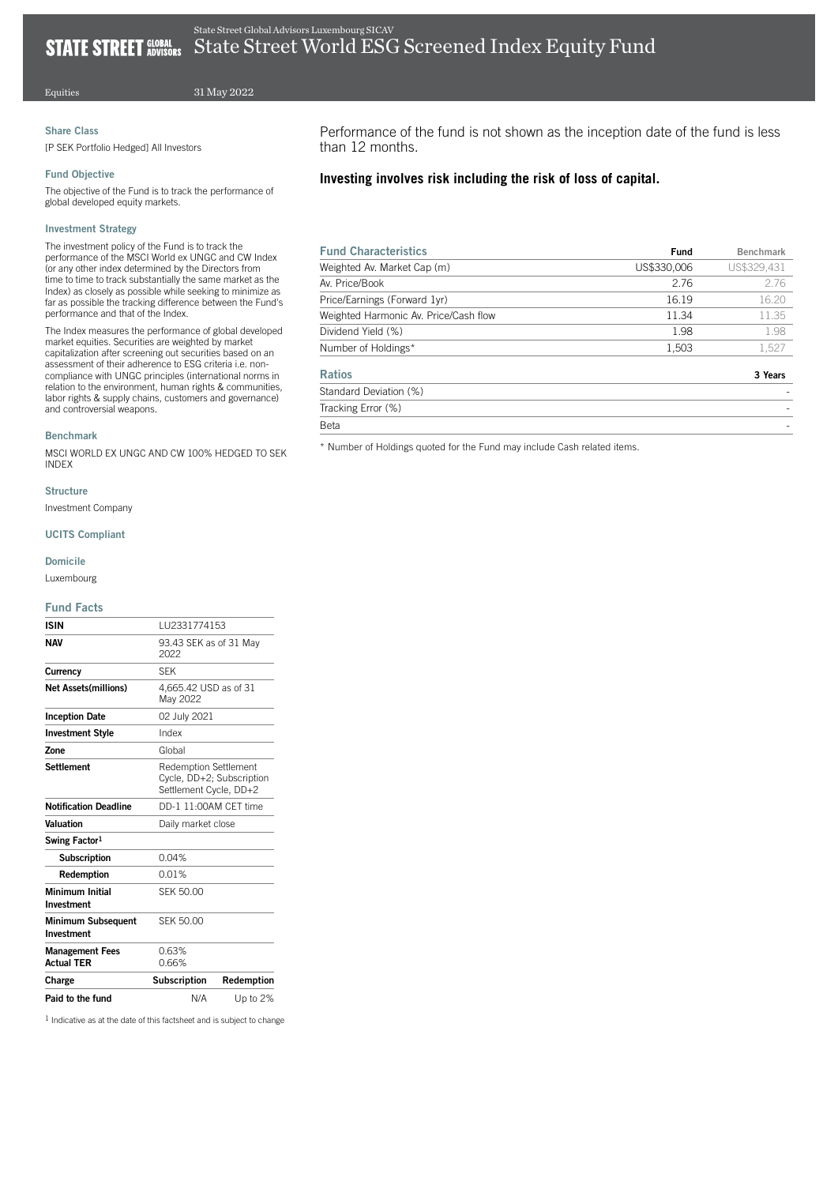# Equities

31 May 2022

# Share Class

[P SEK Portfolio Hedged] All Investors

## Fund Objective

The objective of the Fund is to track the performance of global developed equity markets.

#### Investment Strategy

The investment policy of the Fund is to track the performance of the MSCI World ex UNGC and CW Index (or any other index determined by the Directors from time to time to track substantially the same market as the Index) as closely as possible while seeking to minimize as far as possible the tracking difference between the Fund's performance and that of the Index.

The Index measures the performance of global developed market equities. Securities are weighted by market capitalization after screening out securities based on an assessment of their adherence to ESG criteria i.e. noncompliance with UNGC principles (international norms in relation to the environment, human rights & communities, labor rights & supply chains, customers and governance) and controversial weapons.

#### Benchmark

MSCI WORLD EX UNGC AND CW 100% HEDGED TO SEK INDEX

## Structure

Investment Company

# UCITS Compliant

# Domicile

Luxembourg

## Fund Facts

| Paid to the fund                            | N/A                                                                                 | Up to 2%   |  |
|---------------------------------------------|-------------------------------------------------------------------------------------|------------|--|
| Charge                                      | Subscription                                                                        | Redemption |  |
| <b>Management Fees</b><br><b>Actual TER</b> | 0.63%<br>0.66%                                                                      |            |  |
| Minimum Subsequent<br>Investment            | <b>SEK 50,00</b>                                                                    |            |  |
| Minimum Initial<br>Investment               | SFK 50.00                                                                           |            |  |
| Redemption                                  | 0.01%                                                                               |            |  |
| <b>Subscription</b>                         | 0.04%                                                                               |            |  |
| Swing Factor <sup>1</sup>                   |                                                                                     |            |  |
| Valuation                                   | Daily market close                                                                  |            |  |
| <b>Notification Deadline</b>                | DD-1 11:00AM CFT time                                                               |            |  |
| <b>Settlement</b>                           | <b>Redemption Settlement</b><br>Cycle, DD+2; Subscription<br>Settlement Cycle, DD+2 |            |  |
| Zone                                        | Global                                                                              |            |  |
| <b>Investment Style</b>                     | Index                                                                               |            |  |
| <b>Inception Date</b>                       | 02 July 2021                                                                        |            |  |
| <b>Net Assets(millions)</b>                 | 4,665.42 USD as of 31<br>May 2022                                                   |            |  |
| Currency                                    | <b>SFK</b>                                                                          |            |  |
| <b>NAV</b>                                  | 93.43 SEK as of 31 May<br>2022                                                      |            |  |
| <b>ISIN</b>                                 | LU2331774153                                                                        |            |  |

1 Indicative as at the date of this factsheet and is subject to change

Performance of the fund is not shown as the inception date of the fund is less than 12 months.

# **Investing involves risk including the risk of loss of capital.**

| <b>Fund Characteristics</b>           | Fund        | <b>Benchmark</b> |
|---------------------------------------|-------------|------------------|
| Weighted Av. Market Cap (m)           | US\$330,006 | US\$329.431      |
| Av. Price/Book                        | 2.76        | 2.76             |
| Price/Earnings (Forward 1yr)          | 16.19       | 16.20            |
| Weighted Harmonic Av. Price/Cash flow | 11.34       | 11.35            |
| Dividend Yield (%)                    | 1.98        | 1.98             |
| Number of Holdings*                   | 1,503       | 1,527            |
| <b>Ratios</b>                         |             | 3 Years          |
| Standard Deviation (%)                |             |                  |
| Tracking Error (%)                    |             |                  |
| Beta                                  |             |                  |

\* Number of Holdings quoted for the Fund may include Cash related items.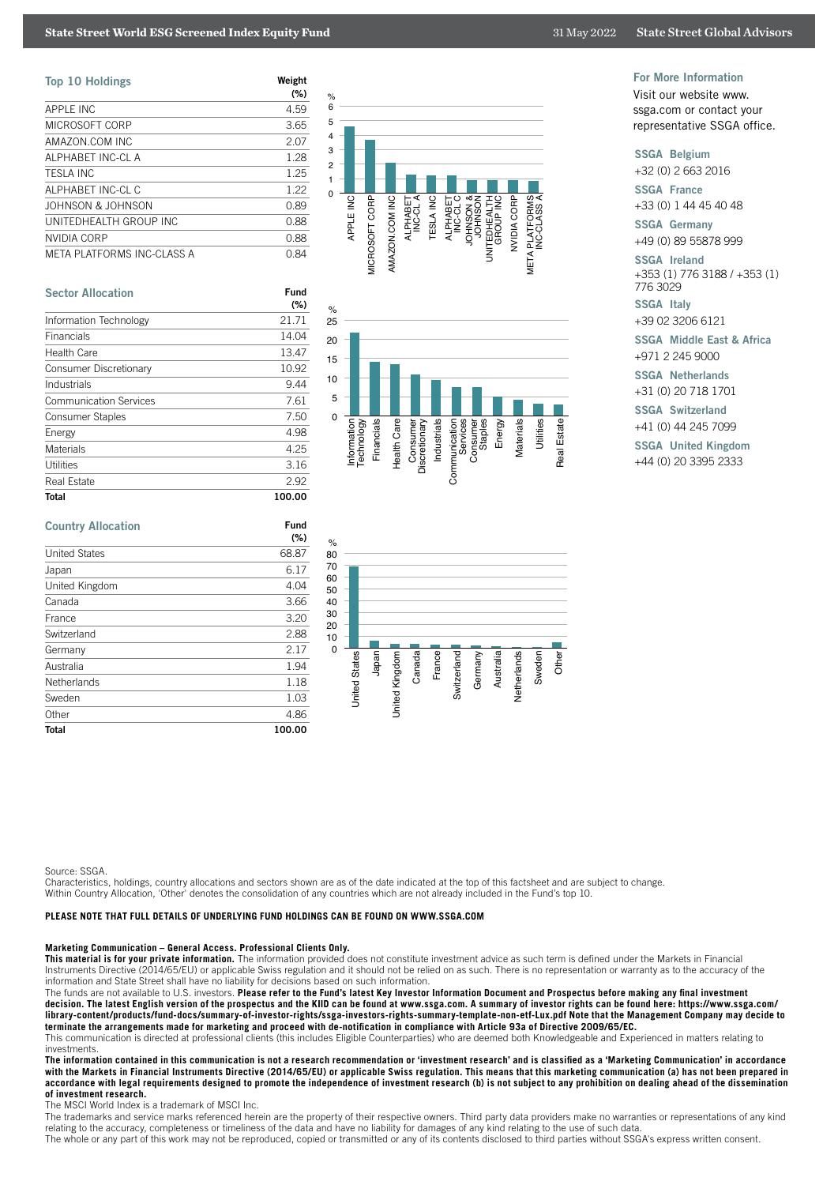| <b>Top 10 Holdings</b>     | Weight<br>$(\% )$ |
|----------------------------|-------------------|
| <b>APPLE INC</b>           | 4.59              |
| MICROSOFT CORP             | 3.65              |
| AMAZON.COM INC             | 2.07              |
| ALPHABET INC-CL A          | 1.28              |
| <b>TESLA INC</b>           | 1.25              |
| ALPHABET INC-CL C          | 1.22              |
| JOHNSON & JOHNSON          | 0.89              |
| UNITEDHEALTH GROUP INC     | 0.88              |
| NVIDIA CORP                | 0.88              |
| META PLATFORMS INC-CLASS A | 0.84              |

| <b>Sector Allocation</b>      | Fund<br>(%) |
|-------------------------------|-------------|
| Information Technology        | 21.71       |
| Financials                    | 14.04       |
| Health Care                   | 13.47       |
| Consumer Discretionary        | 10.92       |
| Industrials                   | 9.44        |
| <b>Communication Services</b> | 7.61        |
| Consumer Staples              | 7.50        |
| Energy                        | 4.98        |
| Materials                     | 4.25        |
| Utilities                     | 3.16        |
| Real Estate                   | 2.92        |
| <b>Total</b>                  | 100.00      |

| Fund   |  |
|--------|--|
| (%)    |  |
| 68.87  |  |
| 6.17   |  |
| 4.04   |  |
| 3.66   |  |
| 3.20   |  |
| 2.88   |  |
| 2.17   |  |
| 1.94   |  |
| 1.18   |  |
| 1.03   |  |
| 4.86   |  |
| 100.00 |  |
|        |  |







#### For More Information

Visit our website www. ssga.com or contact your representative SSGA office.

SSGA Belgium

+32 (0) 2 663 2016

SSGA France

+33 (0) 1 44 45 40 48

SSGA Germany +49 (0) 89 55878 999

SSGA Ireland +353 (1) 776 3188 / +353 (1)

776 3029 SSGA Italy

+39 02 3206 6121

SSGA Middle East & Africa +971 2 245 9000

SSGA Netherlands

+31 (0) 20 718 1701

SSGA Switzerland

+41 (0) 44 245 7099

SSGA United Kingdom

+44 (0) 20 3395 2333

Source: SSGA.

Characteristics, holdings, country allocations and sectors shown are as of the date indicated at the top of this factsheet and are subject to change. Within Country Allocation, 'Other' denotes the consolidation of any countries which are not already included in the Fund's top 10.

# **PLEASE NOTE THAT FULL DETAILS OF UNDERLYING FUND HOLDINGS CAN BE FOUND ON WWW.SSGA.COM**

#### **Marketing Communication – General Access. Professional Clients Only.**

**This material is for your private information.** The information provided does not constitute investment advice as such term is defined under the Markets in Financial Instruments Directive (2014/65/EU) or applicable Swiss regulation and it should not be relied on as such. There is no representation or warranty as to the accuracy of the information and State Street shall have no liability for decisions based on such information.

The funds are not available to U.S. investors. **Please refer to the Fund's latest Key Investor Information Document and Prospectus before making any final investment decision. The latest English version of the prospectus and the KIID can be found at www.ssga.com. A summary of investor rights can be found here: https://www.ssga.com/ library-content/products/fund-docs/summary-of-investor-rights/ssga-investors-rights-summary-template-non-etf-Lux.pdf Note that the Management Company may decide to terminate the arrangements made for marketing and proceed with de-notification in compliance with Article 93a of Directive 2009/65/EC.**

This communication is directed at professional clients (this includes Eligible Counterparties) who are deemed both Knowledgeable and Experienced in matters relating to investments.

**The information contained in this communication is not a research recommendation or 'investment research' and is classified as a 'Marketing Communication' in accordance with the Markets in Financial Instruments Directive (2014/65/EU) or applicable Swiss regulation. This means that this marketing communication (a) has not been prepared in accordance with legal requirements designed to promote the independence of investment research (b) is not subject to any prohibition on dealing ahead of the dissemination of investment research.**

The MSCI World Index is a trademark of MSCI Inc.

The trademarks and service marks referenced herein are the property of their respective owners. Third party data providers make no warranties or representations of any kind relating to the accuracy, completeness or timeliness of the data and have no liability for damages of any kind relating to the use of such data.

The whole or any part of this work may not be reproduced, copied or transmitted or any of its contents disclosed to third parties without SSGA's express written consent.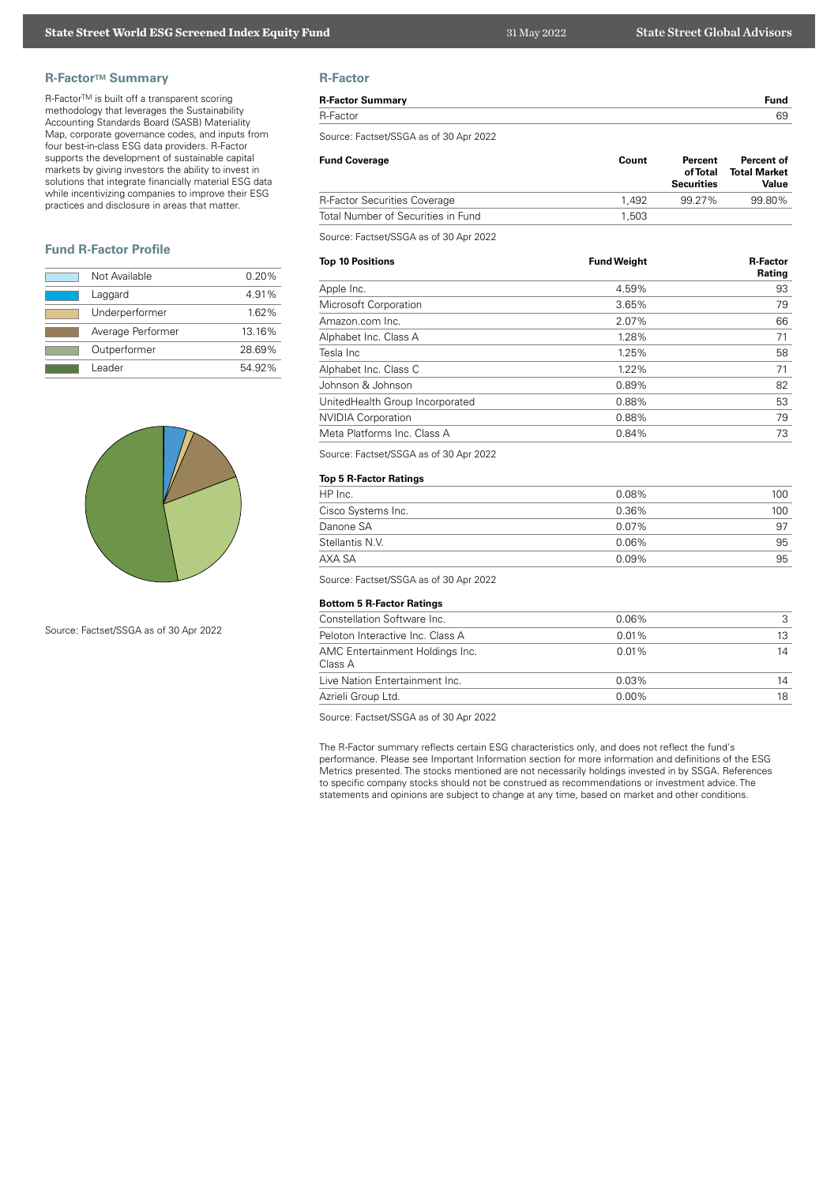# **R-Factor™ Summary**

R-FactorTM is built off a transparent scoring methodology that leverages the Sustainability Accounting Standards Board (SASB) Materiality Map, corporate governance codes, and inputs from four best-in-class ESG data providers. R-Factor supports the development of sustainable capital markets by giving investors the ability to invest in solutions that integrate financially material ESG data while incentivizing companies to improve their ESG practices and disclosure in areas that matter.

# **Fund R-Factor Profile**

| Not Available     | 0.20%  |
|-------------------|--------|
| Laggard           | 4.91%  |
| Underperformer    | 1.62%  |
| Average Performer | 13.16% |
| Outperformer      | 28.69% |
| Leader            | 54.92% |



Source: Factset/SSGA as of 30 Apr 2022

# **R-Factor**

| וטישות                  |      |
|-------------------------|------|
| <b>R-Factor Summary</b> | Fund |
| R-Factor                | 69   |
|                         |      |

Source: Factset/SSGA as of 30 Apr 2022

| <b>Fund Coverage</b>                | Count | Percent<br>of Total<br><b>Securities</b> | Percent of<br><b>Total Market</b><br>Value |
|-------------------------------------|-------|------------------------------------------|--------------------------------------------|
| <b>R-Factor Securities Coverage</b> | 1.492 | 99.27%                                   | 99.80%                                     |
| Total Number of Securities in Fund  | 1.503 |                                          |                                            |

Source: Factset/SSGA as of 30 Apr 2022

| <b>Top 10 Positions</b>         | <b>Fund Weight</b> | <b>R-Factor</b><br>Rating |
|---------------------------------|--------------------|---------------------------|
| Apple Inc.                      | 4.59%              | 93                        |
| Microsoft Corporation           | 3.65%              | 79                        |
| Amazon.com Inc.                 | 2.07%              | 66                        |
| Alphabet Inc. Class A           | 1.28%              | 71                        |
| Tesla Inc                       | 1.25%              | 58                        |
| Alphabet Inc. Class C           | 1.22%              | 71                        |
| Johnson & Johnson               | 0.89%              | 82                        |
| UnitedHealth Group Incorporated | 0.88%              | 53                        |
| <b>NVIDIA Corporation</b>       | 0.88%              | 79                        |
| Meta Platforms Inc. Class A     | 0.84%              | 73                        |

Source: Factset/SSGA as of 30 Apr 2022

# **Top 5 R-Factor Ratings**

| HP Inc.            | $0.08\%$ | 100 |
|--------------------|----------|-----|
| Cisco Systems Inc. | 0.36%    | 100 |
| Danone SA          | $0.07\%$ | 97  |
| Stellantis N.V.    | $0.06\%$ | 95  |
| AXA SA             | $0.09\%$ | 95  |

Source: Factset/SSGA as of 30 Apr 2022

#### **Bottom 5 R-Factor Ratings**

| Constellation Software Inc.                | $0.06\%$ | З  |
|--------------------------------------------|----------|----|
| Peloton Interactive Inc. Class A           | $0.01\%$ | 13 |
| AMC Entertainment Holdings Inc.<br>Class A | $0.01\%$ | 14 |
| Live Nation Entertainment Inc.             | $0.03\%$ | 14 |
| Azrieli Group Ltd.                         | $0.00\%$ | 18 |

Source: Factset/SSGA as of 30 Apr 2022

The R-Factor summary reflects certain ESG characteristics only, and does not reflect the fund's performance. Please see Important Information section for more information and definitions of the ESG Metrics presented. The stocks mentioned are not necessarily holdings invested in by SSGA. References to specific company stocks should not be construed as recommendations or investment advice. The statements and opinions are subject to change at any time, based on market and other conditions.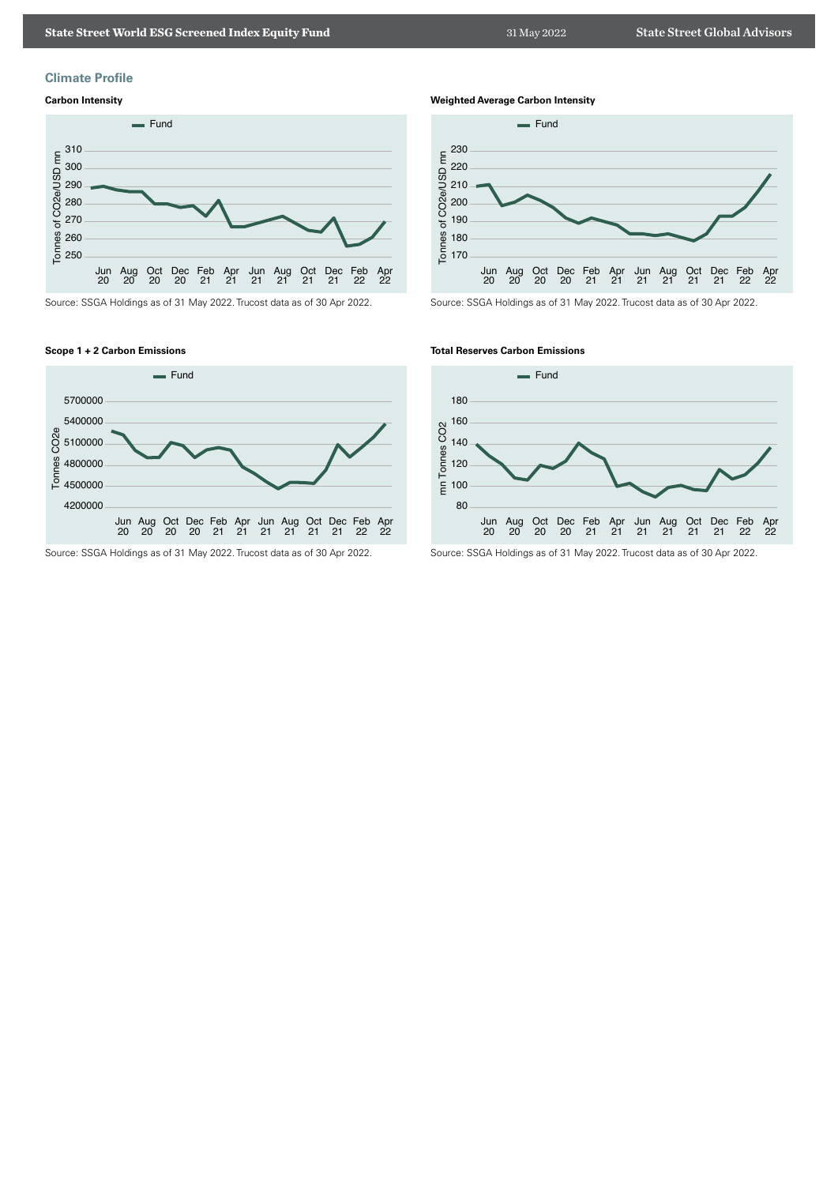

# **Climate Profile**

# **Carbon Intensity**



Source: SSGA Holdings as of 31 May 2022. Trucost data as of 30 Apr 2022.

# **Scope 1 + 2 Carbon Emissions**



Source: SSGA Holdings as of 31 May 2022. Trucost data as of 30 Apr 2022.

**Weighted Average Carbon Intensity**



Source: SSGA Holdings as of 31 May 2022. Trucost data as of 30 Apr 2022.

## **Total Reserves Carbon Emissions**



Source: SSGA Holdings as of 31 May 2022. Trucost data as of 30 Apr 2022.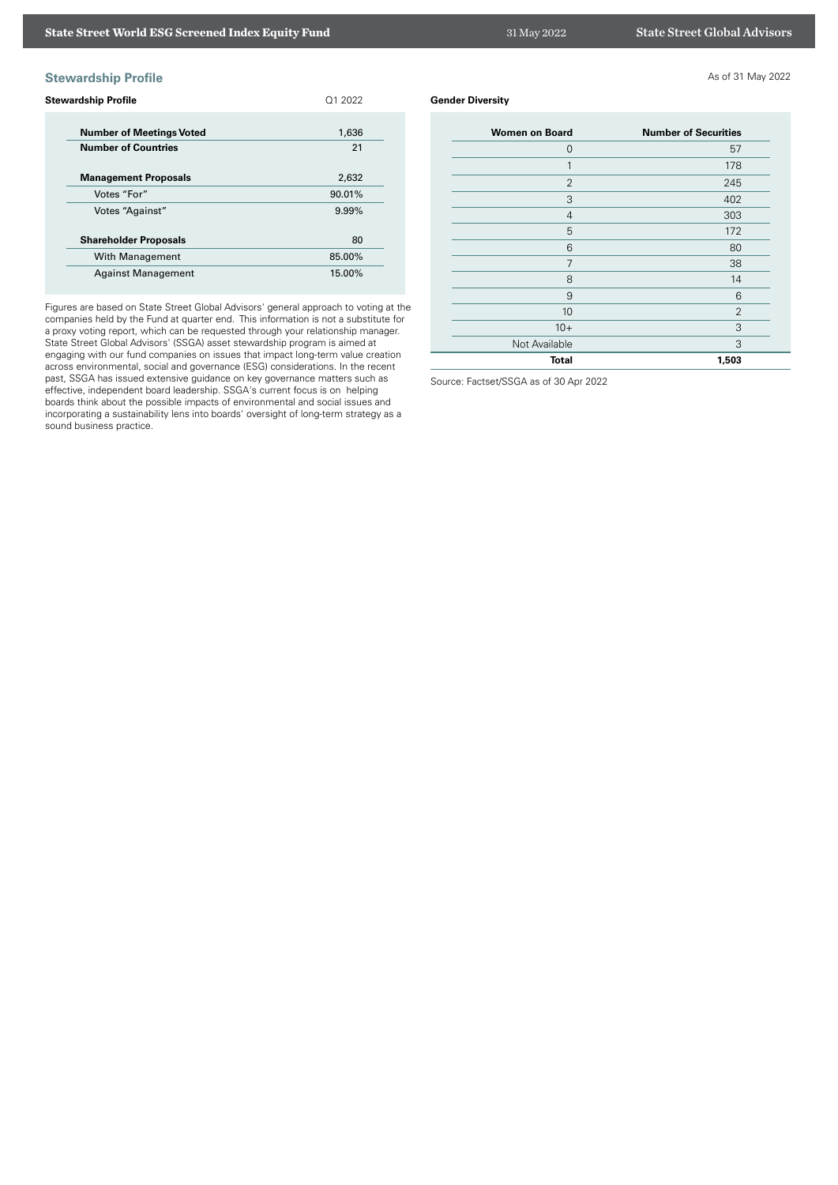# **Stewardship Profile** As of 31 May 2022

| <b>Stewardship Profile</b>                                    | 01 2022     |
|---------------------------------------------------------------|-------------|
| <b>Number of Meetings Voted</b><br><b>Number of Countries</b> | 1,636<br>21 |
| <b>Management Proposals</b>                                   | 2,632       |
| Votes "For"                                                   | 90.01%      |
| Votes "Against"                                               | 9.99%       |
| <b>Shareholder Proposals</b>                                  | 80          |
| With Management                                               | 85.00%      |
| <b>Against Management</b>                                     | 15.00%      |

Figures are based on State Street Global Advisors' general approach to voting at the companies held by the Fund at quarter end. This information is not a substitute for a proxy voting report, which can be requested through your relationship manager. State Street Global Advisors' (SSGA) asset stewardship program is aimed at engaging with our fund companies on issues that impact long-term value creation across environmental, social and governance (ESG) considerations. In the recent past, SSGA has issued extensive guidance on key governance matters such as effective, independent board leadership. SSGA's current focus is on helping boards think about the possible impacts of environmental and social issues and incorporating a sustainability lens into boards' oversight of long-term strategy as a sound business practice.

# **Gender Diversity**

| <b>Women on Board</b> | <b>Number of Securities</b> |
|-----------------------|-----------------------------|
| $\overline{0}$        | 57                          |
| 1                     | 178                         |
| $\overline{2}$        | 245                         |
| 3                     | 402                         |
| $\overline{4}$        | 303                         |
| 5                     | 172                         |
| 6                     | 80                          |
| 7                     | 38                          |
| 8                     | 14                          |
| 9                     | 6                           |
| 10                    | $\overline{2}$              |
| $10+$                 | 3                           |
| Not Available         | 3                           |
| <b>Total</b>          | 1,503                       |

Source: Factset/SSGA as of 30 Apr 2022